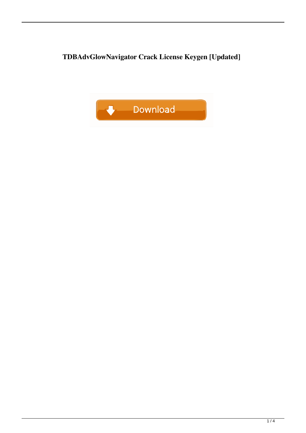**TDBAdvGlowNavigator Crack License Keygen [Updated]**

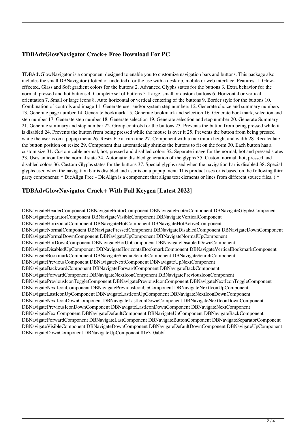## **TDBAdvGlowNavigator Crack+ Free Download For PC**

TDBAdvGlowNavigator is a component designed to enable you to customize navigation bars and buttons. This package also includes the small DBNavigator (dotted or undotted) for the use with a desktop, mobile or web interface. Features: 1. Gloweffected, Glass and Soft gradient colors for the buttons 2. Advanced Glyphs states for the buttons 3. Extra behavior for the normal, pressed and hot buttons 4. Complete set of buttons 5. Large, small or custom buttons 6. Horizontal or vertical orientation 7. Small or large icons 8. Auto horizontal or vertical centering of the buttons 9. Border style for the buttons 10. Combination of controls and image 11. Generate user and/or system step numbers 12. Generate choice and summary numbers 13. Generate page number 14. Generate bookmark 15. Generate bookmark and selection 16. Generate bookmark, selection and step number 17. Generate step number 18. Generate selection 19. Generate selection and step number 20. Generate Summary 21. Generate summary and step number 22. Group controls for the buttons 23. Prevents the button from being pressed while it is disabled 24. Prevents the button from being pressed while the mouse is over it 25. Prevents the button from being pressed while the user is on a popup menu 26. Resizable at run time 27. Component with a maximum height and width 28. Recalculate the button position on resize 29. Component that automatically shrinks the buttons to fit on the form 30. Each button has a custom size 31. Customizable normal, hot, pressed and disabled colors 32. Separate image for the normal, hot and pressed states 33. Uses an icon for the normal state 34. Automatic disabled generation of the glyphs 35. Custom normal, hot, pressed and disabled colors 36. Custom Glyphs states for the buttons 37. Special glyphs used when the navigation bar is disabled 38. Special glyphs used when the navigation bar is disabled and user is on a popup menu This product uses or is based on the following third party components: \* DicAlign.Free - DicAlign is a component that aligns text elements or lines from different source files. ( \*

## **TDBAdvGlowNavigator Crack+ With Full Keygen [Latest 2022]**

DBNavigateHeaderComponent DBNavigateEditorComponent DBNavigateFooterComponent DBNavigateGlyphsComponent DBNavigateSeparatorComponent DBNavigateVisibleComponent DBNavigateVerticalComponent DBNavigateHorizontalComponent DBNavigateHotComponent DBNavigateHotActiveComponent DBNavigateNormalComponent DBNavigatePressedComponent DBNavigateDisabledComponent DBNavigateDownComponent DBNavigateNormalDownComponent DBNavigateUpComponent DBNavigateNormalUpComponent DBNavigateHotDownComponent DBNavigateHotUpComponent DBNavigateDisabledDownComponent DBNavigateDisabledUpComponent DBNavigateHorizontalBookmarkComponent DBNavigateVerticalBookmarkComponent DBNavigateBookmarkComponent DBNavigateSpecialSearchComponent DBNavigateSearchComponent DBNavigatePreviousComponent DBNavigateNextComponent DBNavigateUpNextComponent DBNavigateBackwardComponent DBNavigateForwardComponent DBNavigateBackComponent DBNavigateForwardComponent DBNavigateNextIconComponent DBNavigatePreviousIconComponent DBNavigatePreviousIconToggleComponent DBNavigatePreviousIconComponent DBNavigateNextIconToggleComponent DBNavigateNextIconComponent DBNavigatePreviousIconUpComponent DBNavigateNextIconUpComponent DBNavigateLastIconUpComponent DBNavigateLastIconUpComponent DBNavigateNextIconDownComponent DBNavigateNextIconDownComponent DBNavigateLastIconDownComponent DBNavigateNextIconDownComponent DBNavigatePreviousIconDownComponent DBNavigateLastIconDownComponent DBNavigateNextComponent DBNavigateNextComponent DBNavigateDefaultComponent DBNavigateUpComponent DBNavigateBackComponent DBNavigateForwardComponent DBNavigateLastComponent DBNavigateButtonComponent DBNavigateSeparatorComponent DBNavigateVisibleComponent DBNavigateDownComponent DBNavigateDefaultDownComponent DBNavigateUpComponent DBNavigateDownComponent DBNavigateUpComponent 81e310abbf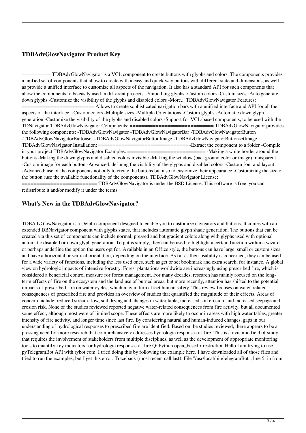# **TDBAdvGlowNavigator Product Key**

 $=$  TDBAdvGlowNavigator is a VCL component to create buttons with glyphs and colors. The components provides a unified set of components that allow to create with a easy and quick way buttons with different state and dimensions, as well as provide a unified interface to customize all aspects of the navigation. It also has a standard API for such components that allow the components to be easily used in different projects. -Smoothing glyphs -Custom colors -Custom sizes -Auto generate down glyphs -Customize the visibility of the glyphs and disabled colors -More... TDBAdvGlowNavigator Features: ========================= Allows to create sophisticated navigation bars with a unified interface and API for all the aspects of the interface. -Custom colors -Multiple sizes -Multiple Orientations -Custom glyphs -Automatic down glyph generation -Customize the visibility of the glyphs and disabled colors -Support for VCL-based components, to be used with the TDNavigator TDBAdvGlowNavigator Components: ============================= TDBAdvGlowNavigator provides the following components: -TDBAdvGlowNavigator -TDBAdvGlowNavigatorBar -TDBAdvGlowNavigatorButton -TDBAdvGlowNavigatorButtonset -TDBAdvGlowNavigatorButtonImage -TDBAdvGlowNavigatorButtonsetImage TDBAdvGlowNavigator Installation: =============================== -Extract the component to a folder -Compile in your project TDBAdvGlowNavigator Examples: =========================== -Making a white border around the buttons -Making the down glyphs and disabled colors invisible -Making the window (background color or image) transparent -Custom image for each button -Advanced: defining the visibility of the glyphs and disabled colors -Custom font and layout -Advanced: use of the components not only to create the buttons but also to customize their appearance -Customizing the size of the button (use the available functionality of the components). TDBAdvGlowNavigator License:

========================== TDBAdvGlowNavigator is under the BSD License: This software is free; you can redistribute it and/or modify it under the terms

## **What's New in the TDBAdvGlowNavigator?**

TDBAdvGlowNavigator is a Delphi component designed to enable you to customize navigators and buttons. It comes with an extended DBNavigator component with glyphs states, that includes automatic glyph shade generation. The buttons that can be created via this set of components can include normal, pressed and hot gradient colors along with glyphs used with optional automatic disabled or down glyph generation. To put is simply, they can be used to highlight a certain function within a wizard or perhaps underline the option the users opt for. Available in an Office style, the buttons can have large, small or custom sizes and have a horizontal or vertical orientation, depending on the interface. As far as their usability is concerned, they can be used for a wide variety of functions, including the less used ones, such as get or set bookmark and extra search, for instance. A global view on hydrologic impacts of intensive forestry. Forest plantations worldwide are increasingly using prescribed fire, which is considered a beneficial control measure for forest management. For many decades, research has mainly focused on the longterm effects of fire on the ecosystem and the land use of burned areas, but more recently, attention has shifted to the potential impacts of prescribed fire on water cycles, which may in turn affect human safety. This review focuses on water-related consequences of prescribed fire and provides an overview of studies that quantified the magnitude of their effects. Areas of concern include: reduced stream flow, soil drying and changes in water table, increased soil erosion, and increased seepage and erosion risk. None of the studies reviewed reported negative water-related consequences from fire activity, but all documented some effect, although most were of limited scope. These effects are more likely to occur in areas with high water tables, greater intensity of fire activity, and longer time since last fire. By considering natural and human-induced changes, gaps in our understanding of hydrological responses to prescribed fire are identified. Based on the studies reviewed, there appears to be a pressing need for more research that comprehensively addresses hydrologic responses of fire. This is a dynamic field of study that requires the involvement of stakeholders from multiple disciplines, as well as the development of appropriate monitoring tools to quantify key indicators for hydrologic responses of fire.Q: Python open\_basedir restriction Hello I am trying to use pyTelegramBot API with rybot.com. I tried doing this by following the example here. I have downloaded all of those files and tried to run the examples, but I get this error: Traceback (most recent call last): File "/usr/local/bin/telegramBot", line 5, in from